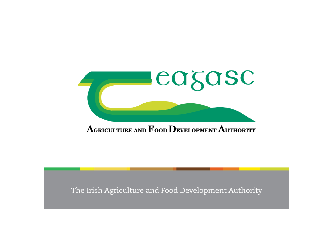

### AGRICULTURE AND FOOD DEVELOPMENT AUTHORITY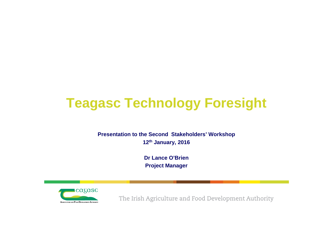# **Teagasc Technology Foresight**

#### **Presentation to the Second Stakeholders' Workshop 12th January, 2016**

**Dr Lance O'Brien Project Manager**

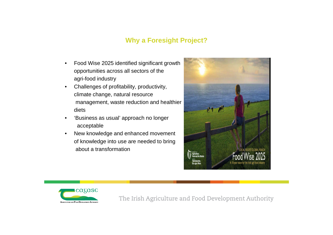### **Why a Foresight Project?**

- Food Wise 2025 identified significant growth opportunities across all sectors of the agri-food industry
- Challenges of profitability, productivity, climate change, natural resource management, waste reduction and healthier diets
- 'Business as usual' approach no longer acceptable
- New knowledge and enhanced movement of knowledge into use are needed to bring about a transformation



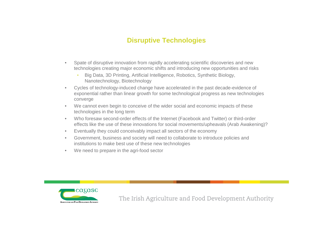### **Disruptive Technologies**

- Spate of disruptive innovation from rapidly accelerating scientific discoveries and new technologies creating major economic shifts and introducing new opportunities and risks
	- Big Data, 3D Printing, Artificial Intelligence, Robotics, Synthetic Biology, Nanotechnology, Biotechnology
- Cycles of technology-induced change have accelerated in the past decade-evidence of exponential rather than linear growth for some technological progress as new technologies converge
- We cannot even begin to conceive of the wider social and economic impacts of these technologies in the long term
- Who foresaw second-order effects of the Internet (Facebook and Twitter) or third-order effects like the use of these innovations for social movements/upheavals (Arab Awakening)?
- Eventually they could conceivably impact all sectors of the economy
- Government, business and society will need to collaborate to introduce policies and institutions to make best use of these new technologies
- We need to prepare in the agri-food sector

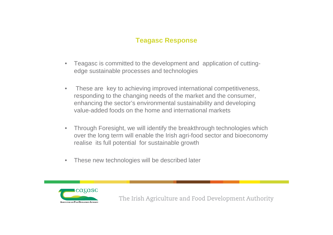### **Teagasc Response**

- Teagasc is committed to the development and application of cuttingedge sustainable processes and technologies
- These are key to achieving improved international competitiveness, responding to the changing needs of the market and the consumer, enhancing the sector's environmental sustainability and developing value-added foods on the home and international markets
- Through Foresight, we will identify the breakthrough technologies which over the long term will enable the Irish agri-food sector and bioeconomy realise its full potential for sustainable growth
- These new technologies will be described later

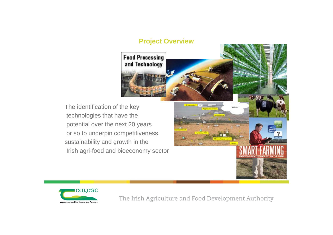#### **Project Overview**



 $-1$ 

The identification of the key technologies that have the potential over the next 20 years or so to underpin competitiveness, sustainability and growth in the Irish agri-food and bioeconomy sector

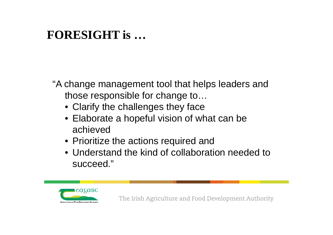# **FORESIGHT is …**

"A change management tool that helps leaders and those responsible for change to…

- Clarify the challenges they face
- Elaborate a hopeful vision of what can be achieved
- Prioritize the actions required and
- Understand the kind of collaboration needed to succeed."

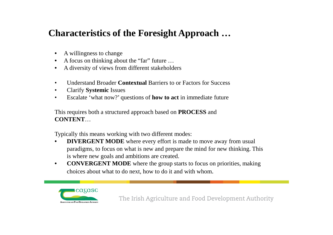### **Characteristics of the Foresight Approach …**

- A willingness to change
- A focus on thinking about the "far" future ...
- A diversity of views from different stakeholders
- Understand Broader **Contextual** Barriers to or Factors for Success
- Clarify **Systemic** Issues
- Escalate 'what now?' questions of **how to act** in immediate future

This requires both a structured approach based on **PROCESS** and **CONTENT**…

Typically this means working with two different modes:

- **DIVERGENT MODE** where every effort is made to move away from usual paradigms, to focus on what is new and prepare the mind for new thinking. This is where new goals and ambitions are created.
- **CONVERGENT MODE** where the group starts to focus on priorities, making choices about what to do next, how to do it and with whom.

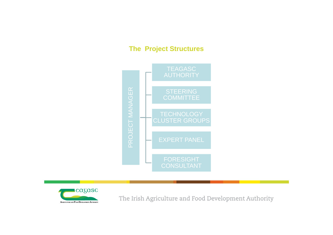### **The Project Structures**



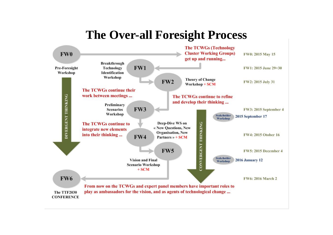# **The Over-all Foresight Process**

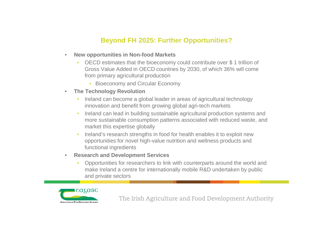### **Beyond FH 2025: Further Opportunities?**

- **New opportunities in Non-food Markets**
	- OECD estimates that the bioeconomy could contribute over \$ 1 trillion of Gross Value Added in OECD countries by 2030, of which 36% will come from primary agricultural production
		- Bioeconomy and Circular Economy
- **The Technology Revolution**
	- Ireland can become a global leader in areas of agricultural technology innovation and benefit from growing global agri-tech markets
	- Ireland can lead in building sustainable agricultural production systems and more sustainable consumption patterns associated with reduced waste, and market this expertise globally
	- Ireland's research strengths in food for health enables it to exploit new opportunities for novel high-value nutrition and wellness products and functional ingredients
- **Research and Development Services**
	- Opportunities for researchers to link with counterparts around the world and make Ireland a centre for internationally mobile R&D undertaken by public and private sectors